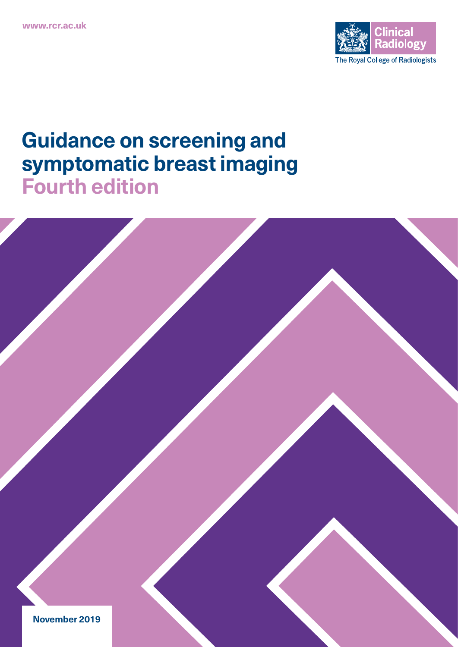

# **Guidance on screening and symptomatic breast imaging Fourth edition**

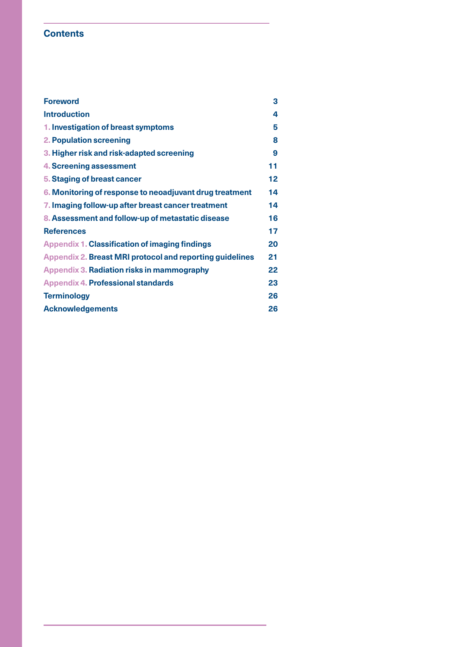# **Contents**

| <b>Foreword</b>                                                 | 3  |
|-----------------------------------------------------------------|----|
| <b>Introduction</b>                                             | 4  |
| 1. Investigation of breast symptoms                             | 5  |
| <b>2. Population screening</b>                                  | 8  |
| 3. Higher risk and risk-adapted screening                       | 9  |
| <b>4. Screening assessment</b>                                  | 11 |
| 5. Staging of breast cancer                                     | 12 |
| 6. Monitoring of response to neoadjuvant drug treatment         | 14 |
| 7. Imaging follow-up after breast cancer treatment              | 14 |
| 8. Assessment and follow-up of metastatic disease               | 16 |
| <b>References</b>                                               | 17 |
| <b>Appendix 1. Classification of imaging findings</b>           | 20 |
| <b>Appendix 2. Breast MRI protocol and reporting guidelines</b> | 21 |
| <b>Appendix 3. Radiation risks in mammography</b>               | 22 |
| <b>Appendix 4. Professional standards</b>                       | 23 |
| <b>Terminology</b>                                              | 26 |
| <b>Acknowledgements</b>                                         | 26 |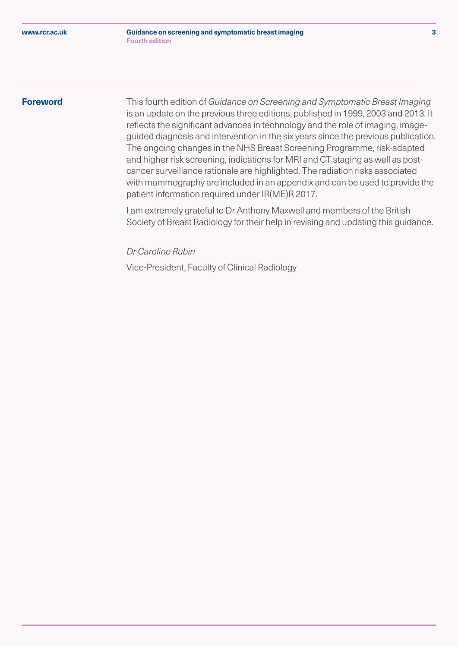# <span id="page-2-0"></span>**Foreword**

This fourth edition of *Guidance on Screening and Symptomatic Breast Imaging* is an update on the previous three editions, published in 1999, 2003 and 2013. It reflects the significant advances in technology and the role of imaging, imageguided diagnosis and intervention in the six years since the previous publication. The ongoing changes in the NHS Breast Screening Programme, risk-adapted and higher risk screening, indications for MRI and CT staging as well as postcancer surveillance rationale are highlighted. The radiation risks associated with mammography are included in an appendix and can be used to provide the patient information required under IR(ME)R 2017.

I am extremely grateful to Dr Anthony Maxwell and members of the British Society of Breast Radiology for their help in revising and updating this guidance.

*Dr Caroline Rubin* 

Vice-President, Faculty of Clinical Radiology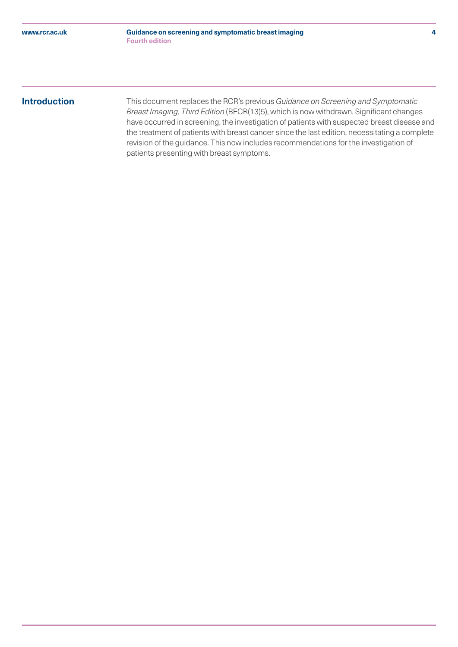# <span id="page-3-0"></span>**Introduction**

This document replaces the RCR's previous *Guidance on Screening and Symptomatic Breast Imaging, Third Edition* (BFCR(13)5), which is now withdrawn. Significant changes have occurred in screening, the investigation of patients with suspected breast disease and the treatment of patients with breast cancer since the last edition, necessitating a complete revision of the guidance. This now includes recommendations for the investigation of patients presenting with breast symptoms.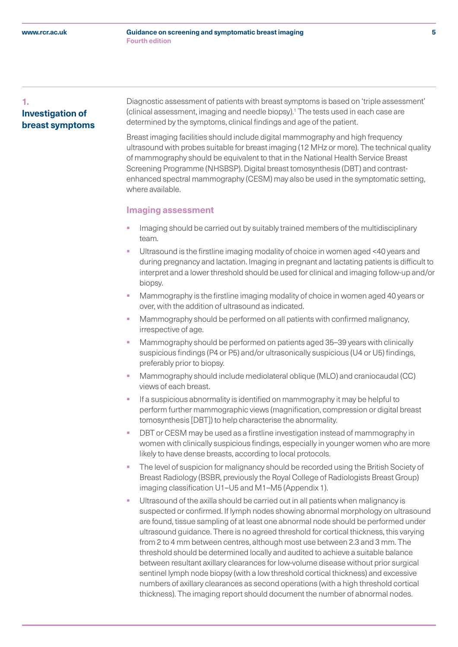# <span id="page-4-0"></span>**1. Investigation of breast symptoms**

 Diagnostic assessment of patients with breast symptoms is based on 'triple assessment' (clinical assessment, imaging and needle biopsy).<sup>1</sup> The tests used in each case are determined by the symptoms, clinical findings and age of the patient.

Breast imaging facilities should include digital mammography and high frequency ultrasound with probes suitable for breast imaging (12 MHz or more). The technical quality of mammography should be equivalent to that in the National Health Service Breast Screening Programme (NHSBSP). Digital breast tomosynthesis (DBT) and contrastenhanced spectral mammography (CESM) may also be used in the symptomatic setting, where available.

# **Imaging assessment**

- Imaging should be carried out by suitably trained members of the multidisciplinary team.
- § Ultrasound is the firstline imaging modality of choice in women aged <40 years and during pregnancy and lactation. Imaging in pregnant and lactating patients is difficult to interpret and a lower threshold should be used for clinical and imaging follow-up and/or biopsy.
- § Mammography is the firstline imaging modality of choice in women aged 40 years or over, with the addition of ultrasound as indicated.
- Mammography should be performed on all patients with confirmed malignancy, irrespective of age.
- § Mammography should be performed on patients aged 35–39 years with clinically suspicious findings (P4 or P5) and/or ultrasonically suspicious (U4 or U5) findings, preferably prior to biopsy.
- § Mammography should include mediolateral oblique (MLO) and craniocaudal (CC) views of each breast.
- If a suspicious abnormality is identified on mammography it may be helpful to perform further mammographic views (magnification, compression or digital breast tomosynthesis [DBT]) to help characterise the abnormality.
- DBT or CESM may be used as a firstline investigation instead of mammography in women with clinically suspicious findings, especially in younger women who are more likely to have dense breasts, according to local protocols.
- The level of suspicion for malignancy should be recorded using the British Society of Breast Radiology (BSBR, previously the Royal College of Radiologists Breast Group) imaging classification U1–U5 and M1–M5 (Appendix 1).
- Ultrasound of the axilla should be carried out in all patients when malignancy is suspected or confirmed. If lymph nodes showing abnormal morphology on ultrasound are found, tissue sampling of at least one abnormal node should be performed under ultrasound guidance. There is no agreed threshold for cortical thickness, this varying from 2 to 4 mm between centres, although most use between 2.3 and 3 mm. The threshold should be determined locally and audited to achieve a suitable balance between resultant axillary clearances for low-volume disease without prior surgical sentinel lymph node biopsy (with a low threshold cortical thickness) and excessive numbers of axillary clearances as second operations (with a high threshold cortical thickness). The imaging report should document the number of abnormal nodes.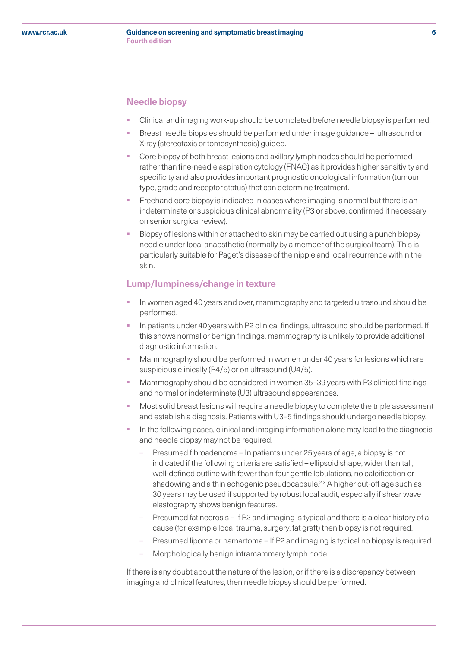# **Needle biopsy**

- § Clinical and imaging work-up should be completed before needle biopsy is performed.
- § Breast needle biopsies should be performed under image guidance ultrasound or X-ray (stereotaxis or tomosynthesis) guided.
- § Core biopsy of both breast lesions and axillary lymph nodes should be performed rather than fine-needle aspiration cytology (FNAC) as it provides higher sensitivity and specificity and also provides important prognostic oncological information (tumour type, grade and receptor status) that can determine treatment.
- § Freehand core biopsy is indicated in cases where imaging is normal but there is an indeterminate or suspicious clinical abnormality (P3 or above, confirmed if necessary on senior surgical review).
- § Biopsy of lesions within or attached to skin may be carried out using a punch biopsy needle under local anaesthetic (normally by a member of the surgical team). This is particularly suitable for Paget's disease of the nipple and local recurrence within the skin.

# **Lump/lumpiness/change in texture**

- § In women aged 40 years and over, mammography and targeted ultrasound should be performed.
- In patients under 40 years with P2 clinical findings, ultrasound should be performed. If this shows normal or benign findings, mammography is unlikely to provide additional diagnostic information.
- Mammography should be performed in women under 40 years for lesions which are suspicious clinically (P4/5) or on ultrasound (U4/5).
- § Mammography should be considered in women 35–39 years with P3 clinical findings and normal or indeterminate (U3) ultrasound appearances.
- § Most solid breast lesions will require a needle biopsy to complete the triple assessment and establish a diagnosis. Patients with U3–5 findings should undergo needle biopsy.
- In the following cases, clinical and imaging information alone may lead to the diagnosis and needle biopsy may not be required.
	- Presumed fibroadenoma In patients under 25 years of age, a biopsy is not indicated if the following criteria are satisfied – ellipsoid shape, wider than tall, well-defined outline with fewer than four gentle lobulations, no calcification or shadowing and a thin echogenic pseudocapsule.<sup>2,3</sup> A higher cut-off age such as 30 years may be used if supported by robust local audit, especially if shear wave elastography shows benign features.
	- Presumed fat necrosis If P2 and imaging is typical and there is a clear history of a cause (for example local trauma, surgery, fat graft) then biopsy is not required.
	- Presumed lipoma or hamartoma If P2 and imaging is typical no biopsy is required.
	- Morphologically benign intramammary lymph node.

If there is any doubt about the nature of the lesion, or if there is a discrepancy between imaging and clinical features, then needle biopsy should be performed.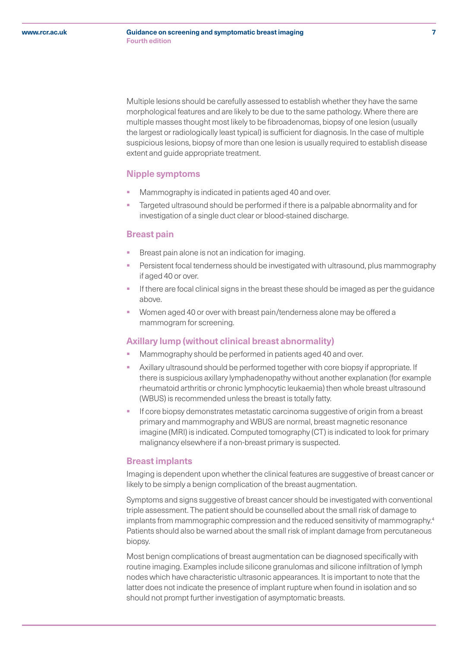Multiple lesions should be carefully assessed to establish whether they have the same morphological features and are likely to be due to the same pathology. Where there are multiple masses thought most likely to be fibroadenomas, biopsy of one lesion (usually the largest or radiologically least typical) is sufficient for diagnosis. In the case of multiple suspicious lesions, biopsy of more than one lesion is usually required to establish disease extent and guide appropriate treatment.

# **Nipple symptoms**

- Mammography is indicated in patients aged 40 and over.
- Targeted ultrasound should be performed if there is a palpable abnormality and for investigation of a single duct clear or blood-stained discharge.

#### **Breast pain**

- Breast pain alone is not an indication for imaging.
- Persistent focal tenderness should be investigated with ultrasound, plus mammography if aged 40 or over.
- If there are focal clinical signs in the breast these should be imaged as per the guidance above.
- § Women aged 40 or over with breast pain/tenderness alone may be offered a mammogram for screening.

# **Axillary lump (without clinical breast abnormality)**

- Mammography should be performed in patients aged 40 and over.
- Axillary ultrasound should be performed together with core biopsy if appropriate. If there is suspicious axillary lymphadenopathy without another explanation (for example rheumatoid arthritis or chronic lymphocytic leukaemia) then whole breast ultrasound (WBUS) is recommended unless the breast is totally fatty.
- If core biopsy demonstrates metastatic carcinoma suggestive of origin from a breast primary and mammography and WBUS are normal, breast magnetic resonance imagine (MRI) is indicated. Computed tomography (CT) is indicated to look for primary malignancy elsewhere if a non-breast primary is suspected.

# **Breast implants**

Imaging is dependent upon whether the clinical features are suggestive of breast cancer or likely to be simply a benign complication of the breast augmentation.

Symptoms and signs suggestive of breast cancer should be investigated with conventional triple assessment. The patient should be counselled about the small risk of damage to implants from mammographic compression and the reduced sensitivity of mammography.<sup>4</sup> Patients should also be warned about the small risk of implant damage from percutaneous biopsy.

Most benign complications of breast augmentation can be diagnosed specifically with routine imaging. Examples include silicone granulomas and silicone infiltration of lymph nodes which have characteristic ultrasonic appearances. It is important to note that the latter does not indicate the presence of implant rupture when found in isolation and so should not prompt further investigation of asymptomatic breasts.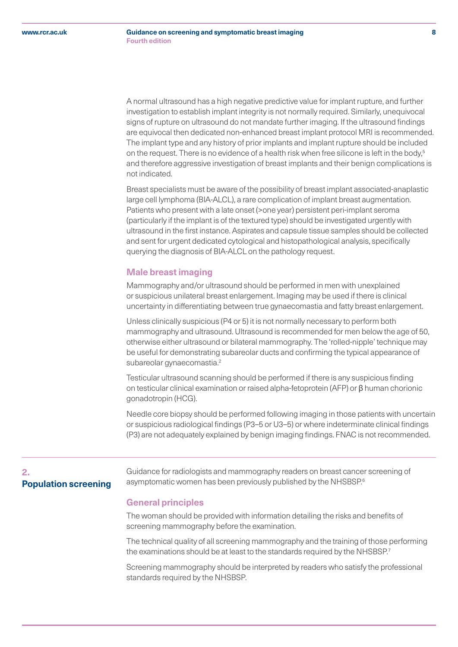<span id="page-7-0"></span>A normal ultrasound has a high negative predictive value for implant rupture, and further investigation to establish implant integrity is not normally required. Similarly, unequivocal signs of rupture on ultrasound do not mandate further imaging. If the ultrasound findings are equivocal then dedicated non-enhanced breast implant protocol MRI is recommended. The implant type and any history of prior implants and implant rupture should be included on the request. There is no evidence of a health risk when free silicone is left in the body,<sup>5</sup> and therefore aggressive investigation of breast implants and their benign complications is not indicated.

Breast specialists must be aware of the possibility of breast implant associated-anaplastic large cell lymphoma (BIA-ALCL), a rare complication of implant breast augmentation. Patients who present with a late onset (>one year) persistent peri-implant seroma (particularly if the implant is of the textured type) should be investigated urgently with ultrasound in the first instance. Aspirates and capsule tissue samples should be collected and sent for urgent dedicated cytological and histopathological analysis, specifically querying the diagnosis of BIA-ALCL on the pathology request.

# **Male breast imaging**

Mammography and/or ultrasound should be performed in men with unexplained or suspicious unilateral breast enlargement. Imaging may be used if there is clinical uncertainty in differentiating between true gynaecomastia and fatty breast enlargement.

Unless clinically suspicious (P4 or 5) it is not normally necessary to perform both mammography and ultrasound. Ultrasound is recommended for men below the age of 50, otherwise either ultrasound or bilateral mammography. The 'rolled-nipple' technique may be useful for demonstrating subareolar ducts and confirming the typical appearance of subareolar gynaecomastia.<sup>2</sup>

Testicular ultrasound scanning should be performed if there is any suspicious finding on testicular clinical examination or raised alpha-fetoprotein (AFP) or β human chorionic gonadotropin (HCG).

Needle core biopsy should be performed following imaging in those patients with uncertain or suspicious radiological findings (P3–5 or U3–5) or where indeterminate clinical findings (P3) are not adequately explained by benign imaging findings. FNAC is not recommended.

# **2. Population screening**

 Guidance for radiologists and mammography readers on breast cancer screening of asymptomatic women has been previously published by the NHSBSP.<sup>6</sup>

# **General principles**

The woman should be provided with information detailing the risks and benefits of screening mammography before the examination.

The technical quality of all screening mammography and the training of those performing the examinations should be at least to the standards required by the NHSBSP.<sup>7</sup>

Screening mammography should be interpreted by readers who satisfy the professional standards required by the NHSBSP.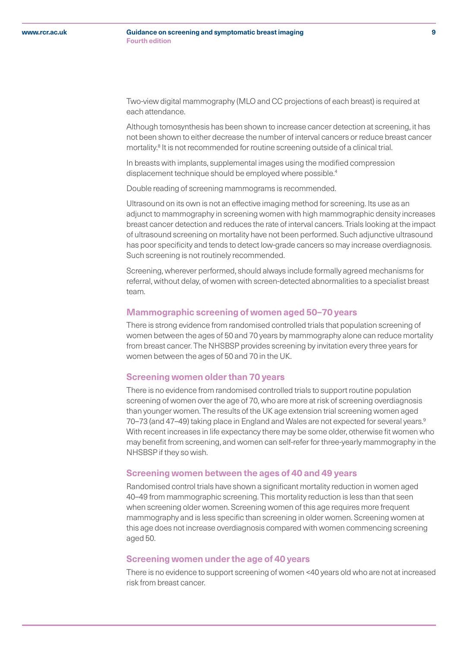#### <span id="page-8-0"></span>**Guidance on screening and symptomatic breast imaging 9 Fourth edition**

Two-view digital mammography (MLO and CC projections of each breast) is required at each attendance.

Although tomosynthesis has been shown to increase cancer detection at screening, it has not been shown to either decrease the number of interval cancers or reduce breast cancer mortality.<sup>8</sup> It is not recommended for routine screening outside of a clinical trial.

In breasts with implants, supplemental images using the modified compression displacement technique should be employed where possible.<sup>4</sup>

Double reading of screening mammograms is recommended.

Ultrasound on its own is not an effective imaging method for screening. Its use as an adjunct to mammography in screening women with high mammographic density increases breast cancer detection and reduces the rate of interval cancers. Trials looking at the impact of ultrasound screening on mortality have not been performed. Such adjunctive ultrasound has poor specificity and tends to detect low-grade cancers so may increase overdiagnosis. Such screening is not routinely recommended.

Screening, wherever performed, should always include formally agreed mechanisms for referral, without delay, of women with screen-detected abnormalities to a specialist breast team.

#### **Mammographic screening of women aged 50–70 years**

There is strong evidence from randomised controlled trials that population screening of women between the ages of 50 and 70 years by mammography alone can reduce mortality from breast cancer. The NHSBSP provides screening by invitation every three years for women between the ages of 50 and 70 in the UK.

#### **Screening women older than 70 years**

There is no evidence from randomised controlled trials to support routine population screening of women over the age of 70, who are more at risk of screening overdiagnosis than younger women. The results of the UK age extension trial screening women aged 70–73 (and 47–49) taking place in England and Wales are not expected for several years.<sup>9</sup> With recent increases in life expectancy there may be some older, otherwise fit women who may benefit from screening, and women can self-refer for three-yearly mammography in the NHSBSP if they so wish.

# **Screening women between the ages of 40 and 49 years**

Randomised control trials have shown a significant mortality reduction in women aged 40–49 from mammographic screening. This mortality reduction is less than that seen when screening older women. Screening women of this age requires more frequent mammography and is less specific than screening in older women. Screening women at this age does not increase overdiagnosis compared with women commencing screening aged 50.

# **Screening women under the age of 40 years**

There is no evidence to support screening of women <40 years old who are not at increased risk from breast cancer.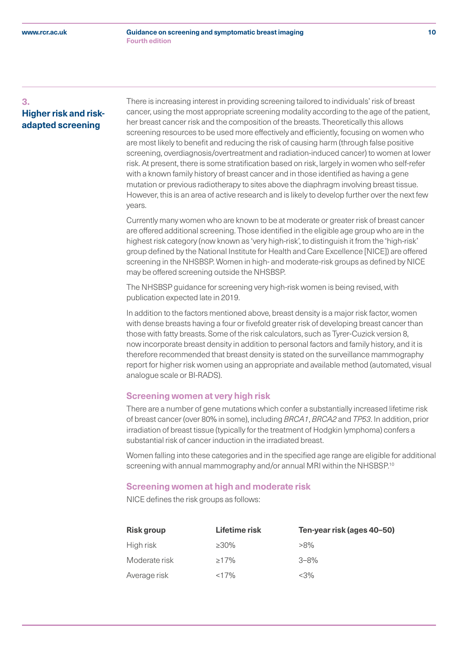# **3. Higher risk and riskadapted screening**

 There is increasing interest in providing screening tailored to individuals' risk of breast cancer, using the most appropriate screening modality according to the age of the patient, her breast cancer risk and the composition of the breasts. Theoretically this allows screening resources to be used more effectively and efficiently, focusing on women who are most likely to benefit and reducing the risk of causing harm (through false positive screening, overdiagnosis/overtreatment and radiation-induced cancer) to women at lower risk. At present, there is some stratification based on risk, largely in women who self-refer with a known family history of breast cancer and in those identified as having a gene mutation or previous radiotherapy to sites above the diaphragm involving breast tissue. However, this is an area of active research and is likely to develop further over the next few years.

Currently many women who are known to be at moderate or greater risk of breast cancer are offered additional screening. Those identified in the eligible age group who are in the highest risk category (now known as 'very high-risk', to distinguish it from the 'high-risk' group defined by the National Institute for Health and Care Excellence [NICE]) are offered screening in the NHSBSP. Women in high- and moderate-risk groups as defined by NICE may be offered screening outside the NHSBSP.

The NHSBSP guidance for screening very high-risk women is being revised, with publication expected late in 2019.

In addition to the factors mentioned above, breast density is a major risk factor, women with dense breasts having a four or fivefold greater risk of developing breast cancer than those with fatty breasts. Some of the risk calculators, such as Tyrer-Cuzick version 8, now incorporate breast density in addition to personal factors and family history, and it is therefore recommended that breast density is stated on the surveillance mammography report for higher risk women using an appropriate and available method (automated, visual analogue scale or BI-RADS).

# **Screening women at very high risk**

There are a number of gene mutations which confer a substantially increased lifetime risk of breast cancer (over 80% in some), including *BRCA1*, *BRCA2* and *TP53*. In addition, prior irradiation of breast tissue (typically for the treatment of Hodgkin lymphoma) confers a substantial risk of cancer induction in the irradiated breast.

Women falling into these categories and in the specified age range are eligible for additional screening with annual mammography and/or annual MRI within the NHSBSP.<sup>10</sup>

#### **Screening women at high and moderate risk**

NICE defines the risk groups as follows:

| <b>Risk group</b> | Lifetime risk | Ten-year risk (ages 40-50) |
|-------------------|---------------|----------------------------|
| High risk         | $>30\%$       | $>8\%$                     |
| Moderate risk     | $\geq$ 17%    | $3 - 8%$                   |
| Average risk      | <17%          | <3%                        |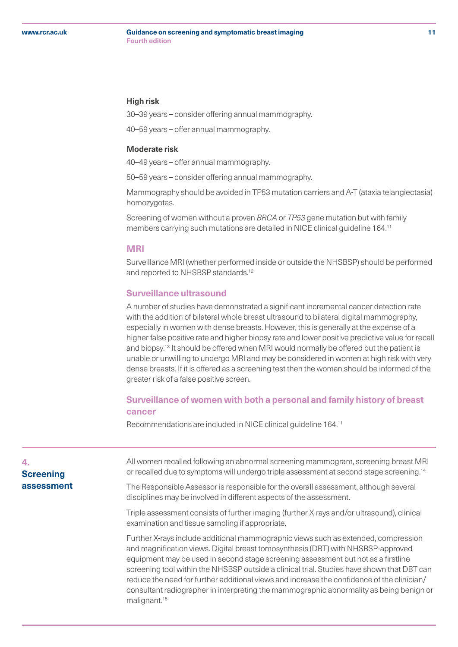#### <span id="page-10-0"></span>**Guidance on screening and symptomatic breast imaging 11 Fourth edition**

#### **High risk**

30–39 years – consider offering annual mammography.

40–59 years – offer annual mammography.

# **Moderate risk**

40–49 years – offer annual mammography.

50–59 years – consider offering annual mammography.

Mammography should be avoided in TP53 mutation carriers and A-T (ataxia telangiectasia) homozygotes.

Screening of women without a proven *BRCA* or *TP53* gene mutation but with family members carrying such mutations are detailed in NICE clinical guideline 164.11

# **MRI**

malignant.15

Surveillance MRI (whether performed inside or outside the NHSBSP) should be performed and reported to NHSBSP standards.<sup>12</sup>

# **Surveillance ultrasound**

A number of studies have demonstrated a significant incremental cancer detection rate with the addition of bilateral whole breast ultrasound to bilateral digital mammography, especially in women with dense breasts. However, this is generally at the expense of a higher false positive rate and higher biopsy rate and lower positive predictive value for recall and biopsy.13 It should be offered when MRI would normally be offered but the patient is unable or unwilling to undergo MRI and may be considered in women at high risk with very dense breasts. If it is offered as a screening test then the woman should be informed of the greater risk of a false positive screen.

# **Surveillance of women with both a personal and family history of breast cancer**

Recommendations are included in NICE clinical guideline 164.11

| 4.<br><b>Screening</b> | All women recalled following an abnormal screening mammogram, screening breast MRI<br>or recalled due to symptoms will undergo triple assessment at second stage screening. <sup>14</sup>                                                                                                                                                                                                                                                                                                                                                          |
|------------------------|----------------------------------------------------------------------------------------------------------------------------------------------------------------------------------------------------------------------------------------------------------------------------------------------------------------------------------------------------------------------------------------------------------------------------------------------------------------------------------------------------------------------------------------------------|
| assessment             | The Responsible Assessor is responsible for the overall assessment, although several<br>disciplines may be involved in different aspects of the assessment.                                                                                                                                                                                                                                                                                                                                                                                        |
|                        | Triple assessment consists of further imaging (further X-rays and/or ultrasound), clinical<br>examination and tissue sampling if appropriate.                                                                                                                                                                                                                                                                                                                                                                                                      |
|                        | Further X-rays include additional mammographic views such as extended, compression<br>and magnification views. Digital breast tomosynthesis (DBT) with NHSBSP-approved<br>equipment may be used in second stage screening assessment but not as a firstline<br>screening tool within the NHSBSP outside a clinical trial. Studies have shown that DBT can<br>reduce the need for further additional views and increase the confidence of the clinician/<br>consultant radiographer in interpreting the mammographic abnormality as being benign or |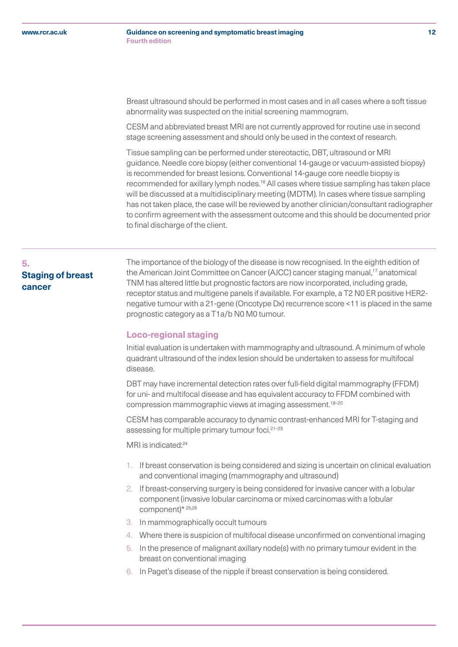#### <span id="page-11-0"></span>**Guidance on screening and symptomatic breast imaging 12 Fourth edition**

Breast ultrasound should be performed in most cases and in all cases where a soft tissue abnormality was suspected on the initial screening mammogram.

CESM and abbreviated breast MRI are not currently approved for routine use in second stage screening assessment and should only be used in the context of research.

Tissue sampling can be performed under stereotactic, DBT, ultrasound or MRI guidance. Needle core biopsy (either conventional 14-gauge or vacuum-assisted biopsy) is recommended for breast lesions. Conventional 14-gauge core needle biopsy is recommended for axillary lymph nodes.<sup>16</sup> All cases where tissue sampling has taken place will be discussed at a multidisciplinary meeting (MDTM). In cases where tissue sampling has not taken place, the case will be reviewed by another clinician/consultant radiographer to confirm agreement with the assessment outcome and this should be documented prior to final discharge of the client.

# **5. Staging of breast cancer**

 The importance of the biology of the disease is now recognised. In the eighth edition of the American Joint Committee on Cancer (AJCC) cancer staging manual,<sup>17</sup> anatomical TNM has altered little but prognostic factors are now incorporated, including grade, receptor status and multigene panels if available. For example, a T2 N0 ER positive HER2 negative tumour with a 21-gene (Oncotype Dx) recurrence score <11 is placed in the same prognostic category as a T1a/b N0 M0 tumour.

# **Loco-regional staging**

Initial evaluation is undertaken with mammography and ultrasound. A minimum of whole quadrant ultrasound of the index lesion should be undertaken to assess for multifocal disease.

DBT may have incremental detection rates over full-field digital mammography (FFDM) for uni- and multifocal disease and has equivalent accuracy to FFDM combined with compression mammographic views at imaging assessment.18–20

CESM has comparable accuracy to dynamic contrast-enhanced MRI for T-staging and assessing for multiple primary tumour foci.<sup>21-23</sup>

MRI is indicated:<sup>24</sup>

- 1. If breast conservation is being considered and sizing is uncertain on clinical evaluation and conventional imaging (mammography and ultrasound)
- 2. If breast-conserving surgery is being considered for invasive cancer with a lobular component (invasive lobular carcinoma or mixed carcinomas with a lobular component)\* 25,26
- 3. In mammographically occult tumours
- 4. Where there is suspicion of multifocal disease unconfirmed on conventional imaging
- 5. In the presence of malignant axillary node(s) with no primary tumour evident in the breast on conventional imaging
- 6. In Paget's disease of the nipple if breast conservation is being considered.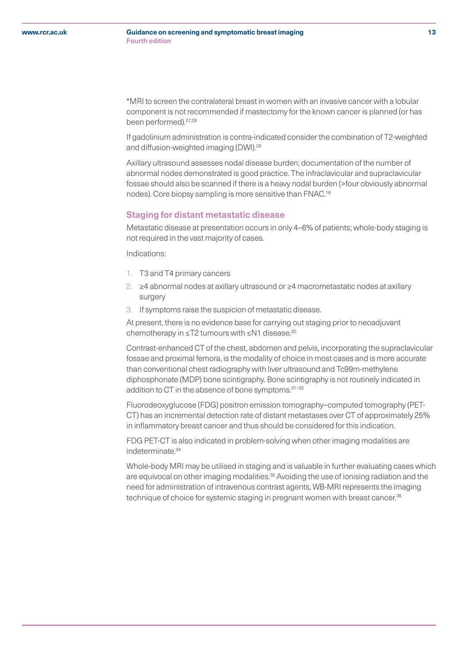#### **Guidance on screening and symptomatic breast imaging 13 Fourth edition**

\*MRI to screen the contralateral breast in women with an invasive cancer with a lobular component is not recommended if mastectomy for the known cancer is planned (or has been performed).<sup>27,28</sup>

If gadolinium administration is contra-indicated consider the combination of T2-weighted and diffusion-weighted imaging (DWI).29

Axillary ultrasound assesses nodal disease burden; documentation of the number of abnormal nodes demonstrated is good practice. The infraclavicular and supraclavicular fossae should also be scanned if there is a heavy nodal burden (>four obviously abnormal nodes). Core biopsy sampling is more sensitive than FNAC.16

# **Staging for distant metastatic disease**

Metastatic disease at presentation occurs in only 4–6% of patients; whole-body staging is not required in the vast majority of cases.

Indications:

- 1. T3 and T4 primary cancers
- 2. ≥4 abnormal nodes at axillary ultrasound or ≥4 macrometastatic nodes at axillary surgery
- 3. If symptoms raise the suspicion of metastatic disease.

At present, there is no evidence base for carrying out staging prior to neoadjuvant chemotherapy in ≤T2 tumours with ≤N1 disease.30

Contrast-enhanced CT of the chest, abdomen and pelvis, incorporating the supraclavicular fossae and proximal femora, is the modality of choice in most cases and is more accurate than conventional chest radiography with liver ultrasound and Tc99m-methylene diphosphonate (MDP) bone scintigraphy. Bone scintigraphy is not routinely indicated in addition to CT in the absence of bone symptoms.<sup>31-33</sup>

Fluorodeoxyglucose (FDG) positron emission tomography–computed tomography (PET-CT) has an incremental detection rate of distant metastases over CT of approximately 25% in inflammatory breast cancer and thus should be considered for this indication.

FDG PET-CT is also indicated in problem-solving when other imaging modalities are indeterminate.34

Whole-body MRI may be utilised in staging and is valuable in further evaluating cases which are equivocal on other imaging modalities.<sup>35</sup> Avoiding the use of ionising radiation and the need for administration of intravenous contrast agents, WB-MRI represents the imaging technique of choice for systemic staging in pregnant women with breast cancer.<sup>36</sup>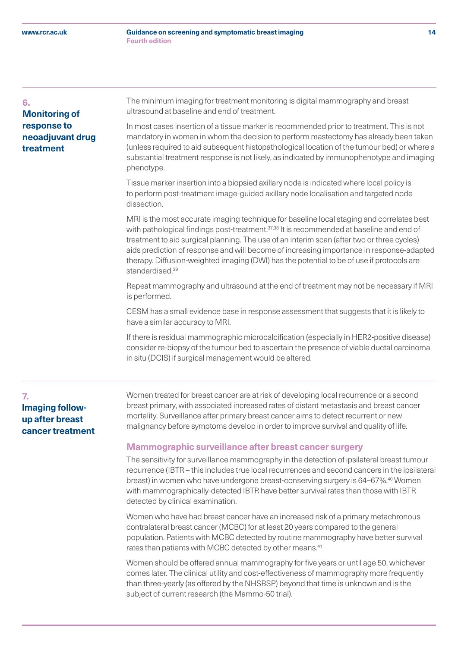#### <span id="page-13-0"></span>**6.**

# **Monitoring of response to neoadjuvant drug treatment**

 The minimum imaging for treatment monitoring is digital mammography and breast ultrasound at baseline and end of treatment.

In most cases insertion of a tissue marker is recommended prior to treatment. This is not mandatory in women in whom the decision to perform mastectomy has already been taken (unless required to aid subsequent histopathological location of the tumour bed) or where a substantial treatment response is not likely, as indicated by immunophenotype and imaging phenotype.

Tissue marker insertion into a biopsied axillary node is indicated where local policy is to perform post-treatment image-guided axillary node localisation and targeted node dissection.

MRI is the most accurate imaging technique for baseline local staging and correlates best with pathological findings post-treatment.<sup>37,38</sup> It is recommended at baseline and end of treatment to aid surgical planning. The use of an interim scan (after two or three cycles) aids prediction of response and will become of increasing importance in response-adapted therapy. Diffusion-weighted imaging (DWI) has the potential to be of use if protocols are standardised.<sup>39</sup>

Repeat mammography and ultrasound at the end of treatment may not be necessary if MRI is performed.

CESM has a small evidence base in response assessment that suggests that it is likely to have a similar accuracy to MRI.

If there is residual mammographic microcalcification (especially in HER2-positive disease) consider re-biopsy of the tumour bed to ascertain the presence of viable ductal carcinoma in situ (DCIS) if surgical management would be altered.

# **7. Imaging followup after breast cancer treatment**

 Women treated for breast cancer are at risk of developing local recurrence or a second breast primary, with associated increased rates of distant metastasis and breast cancer mortality. Surveillance after primary breast cancer aims to detect recurrent or new malignancy before symptoms develop in order to improve survival and quality of life.

# **Mammographic surveillance after breast cancer surgery**

The sensitivity for surveillance mammography in the detection of ipsilateral breast tumour recurrence (IBTR – this includes true local recurrences and second cancers in the ipsilateral breast) in women who have undergone breast-conserving surgery is 64–67%.40 Women with mammographically-detected IBTR have better survival rates than those with IBTR detected by clinical examination.

Women who have had breast cancer have an increased risk of a primary metachronous contralateral breast cancer (MCBC) for at least 20 years compared to the general population. Patients with MCBC detected by routine mammography have better survival rates than patients with MCBC detected by other means.<sup>41</sup>

Women should be offered annual mammography for five years or until age 50, whichever comes later. The clinical utility and cost-effectiveness of mammography more frequently than three-yearly (as offered by the NHSBSP) beyond that time is unknown and is the subject of current research (the Mammo-50 trial).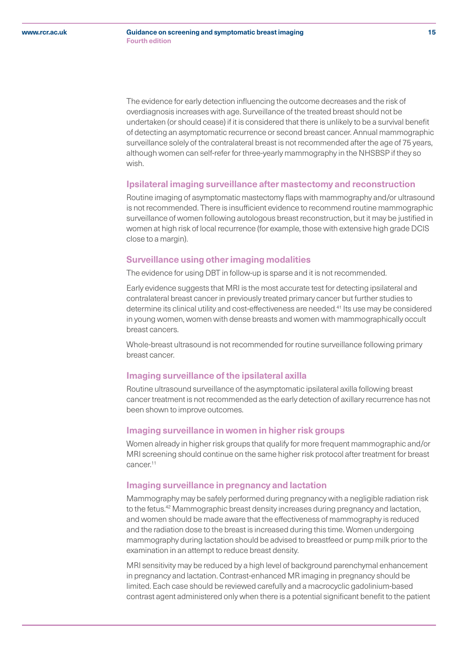The evidence for early detection influencing the outcome decreases and the risk of overdiagnosis increases with age. Surveillance of the treated breast should not be undertaken (or should cease) if it is considered that there is unlikely to be a survival benefit of detecting an asymptomatic recurrence or second breast cancer. Annual mammographic surveillance solely of the contralateral breast is not recommended after the age of 75 years, although women can self-refer for three-yearly mammography in the NHSBSP if they so wish.

# **Ipsilateral imaging surveillance after mastectomy and reconstruction**

Routine imaging of asymptomatic mastectomy flaps with mammography and/or ultrasound is not recommended. There is insufficient evidence to recommend routine mammographic surveillance of women following autologous breast reconstruction, but it may be justified in women at high risk of local recurrence (for example, those with extensive high grade DCIS close to a margin).

# **Surveillance using other imaging modalities**

The evidence for using DBT in follow-up is sparse and it is not recommended.

Early evidence suggests that MRI is the most accurate test for detecting ipsilateral and contralateral breast cancer in previously treated primary cancer but further studies to determine its clinical utility and cost-effectiveness are needed.41 Its use may be considered in young women, women with dense breasts and women with mammographically occult breast cancers.

Whole-breast ultrasound is not recommended for routine surveillance following primary breast cancer.

# **Imaging surveillance of the ipsilateral axilla**

Routine ultrasound surveillance of the asymptomatic ipsilateral axilla following breast cancer treatment is not recommended as the early detection of axillary recurrence has not been shown to improve outcomes.

# **Imaging surveillance in women in higher risk groups**

Women already in higher risk groups that qualify for more frequent mammographic and/or MRI screening should continue on the same higher risk protocol after treatment for breast cancer<sup>11</sup>

# **Imaging surveillance in pregnancy and lactation**

Mammography may be safely performed during pregnancy with a negligible radiation risk to the fetus.42 Mammographic breast density increases during pregnancy and lactation, and women should be made aware that the effectiveness of mammography is reduced and the radiation dose to the breast is increased during this time. Women undergoing mammography during lactation should be advised to breastfeed or pump milk prior to the examination in an attempt to reduce breast density.

MRI sensitivity may be reduced by a high level of background parenchymal enhancement in pregnancy and lactation. Contrast-enhanced MR imaging in pregnancy should be limited. Each case should be reviewed carefully and a macrocyclic gadolinium-based contrast agent administered only when there is a potential significant benefit to the patient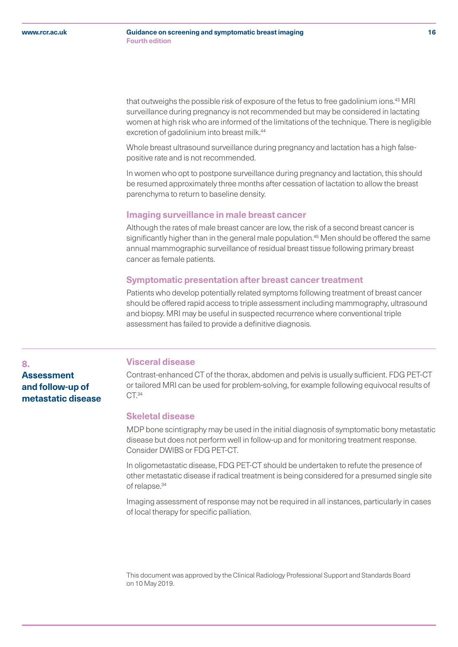<span id="page-15-0"></span>that outweighs the possible risk of exposure of the fetus to free gadolinium ions.<sup>43</sup> MRI surveillance during pregnancy is not recommended but may be considered in lactating women at high risk who are informed of the limitations of the technique. There is negligible excretion of gadolinium into breast milk.<sup>44</sup>

Whole breast ultrasound surveillance during pregnancy and lactation has a high falsepositive rate and is not recommended.

In women who opt to postpone surveillance during pregnancy and lactation, this should be resumed approximately three months after cessation of lactation to allow the breast parenchyma to return to baseline density.

#### **Imaging surveillance in male breast cancer**

Although the rates of male breast cancer are low, the risk of a second breast cancer is significantly higher than in the general male population.<sup>45</sup> Men should be offered the same annual mammographic surveillance of residual breast tissue following primary breast cancer as female patients.

#### **Symptomatic presentation after breast cancer treatment**

Patients who develop potentially related symptoms following treatment of breast cancer should be offered rapid access to triple assessment including mammography, ultrasound and biopsy. MRI may be useful in suspected recurrence where conventional triple assessment has failed to provide a definitive diagnosis.

#### **8.**

# **Assessment and follow-up of metastatic disease**

# **Visceral disease**

Contrast-enhanced CT of the thorax, abdomen and pelvis is usually sufficient. FDG PET-CT or tailored MRI can be used for problem-solving, for example following equivocal results of CT.<sup>34</sup>

# **Skeletal disease**

MDP bone scintigraphy may be used in the initial diagnosis of symptomatic bony metastatic disease but does not perform well in follow-up and for monitoring treatment response. Consider DWIBS or FDG PET-CT.

In oligometastatic disease, FDG PET-CT should be undertaken to refute the presence of other metastatic disease if radical treatment is being considered for a presumed single site of relapse.34

Imaging assessment of response may not be required in all instances, particularly in cases of local therapy for specific palliation.

This document was approved by the Clinical Radiology Professional Support and Standards Board on 10 May 2019.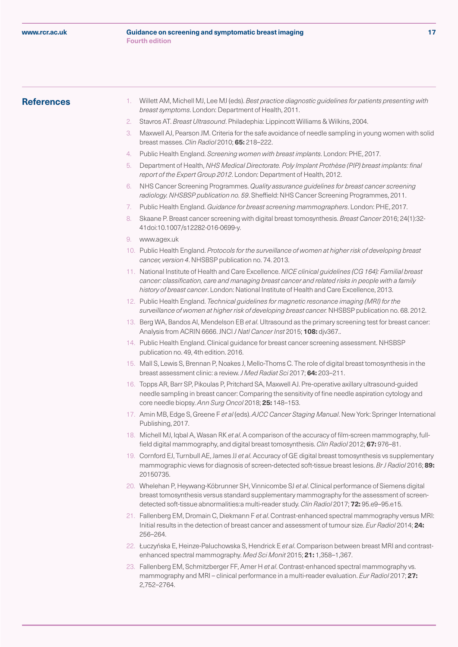# <span id="page-16-0"></span>**References**

- 1. Willett AM, Michell MJ, Lee MJ (eds). *Best practice diagnostic guidelines for patients presenting with breast symptoms*. London: Department of Health, 2011.
- 2. Stavros AT. *Breast Ultrasound*. Philadephia: Lippincott Williams & Wilkins, 2004.
- 3. Maxwell AJ, Pearson JM. Criteria for the safe avoidance of needle sampling in young women with solid breast masses. *Clin Radiol* 2010; **65:** 218–222.
- 4. Public Health England. *Screening women with breast implants*. London: PHE, 2017.
- 5. Department of Health, *NHS Medical Directorate. Poly Implant Prothèse (PIP) breast implants: final report of the Expert Group 2012*. London: Department of Health, 2012.
- 6. NHS Cancer Screening Programmes. *Quality assurance guidelines for breast cancer screening radiology. NHSBSP publication no. 59*. Sheffield: NHS Cancer Screening Programmes, 2011.
- 7. Public Health England. *Guidance for breast screening mammographers*. London: PHE, 2017.
- 8. Skaane P. Breast cancer screening with digital breast tomosynthesis. *Breast Cancer* 2016; 24(1):32- 41doi:10.1007/s12282-016-0699-y.
- www.agex.uk
- 10. Public Health England. *Protocols for the surveillance of women at higher risk of developing breast cancer, version 4*. NHSBSP publication no. 74. 2013.
- 11. National Institute of Health and Care Excellence. *NICE clinical guidelines (CG 164): Familial breast cancer: classification, care and managing breast cancer and related risks in people with a family history of breast cancer*. London: National Institute of Health and Care Excellence, 2013.
- 12. Public Health England. *Technical guidelines for magnetic resonance imaging (MRI) for the surveillance of women at higher risk of developing breast cancer.* NHSBSP publication no. 68. 2012.
- 13. Berg WA, Bandos AI, Mendelson EB *et al*. Ultrasound as the primary screening test for breast cancer: Analysis from ACRIN 6666. JNCI *J Natl Cancer Inst* 2015; **108:** djv367..
- 14. Public Health England. Clinical guidance for breast cancer screening assessment. NHSBSP publication no. 49, 4th edition. 2016.
- 15. Mall S, Lewis S, Brennan P, Noakes J, Mello-Thoms C. The role of digital breast tomosynthesis in the breast assessment clinic: a review. *J Med Radiat Sci* 2017; **64:** 203–211.
- 16. Topps AR, Barr SP, Pikoulas P, Pritchard SA, Maxwell AJ. Pre-operative axillary ultrasound-guided needle sampling in breast cancer: Comparing the sensitivity of fine needle aspiration cytology and core needle biopsy. *Ann Surg Oncol* 2018; **25:** 148–153.
- 17. Amin MB, Edge S, Greene F *et al* (eds). *AJCC Cancer Staging Manual*. New York: Springer International Publishing, 2017.
- 18. Michell MJ, Iqbal A, Wasan RK *et al*. A comparison of the accuracy of film-screen mammography, fullfield digital mammography, and digital breast tomosynthesis. *Clin Radiol* 2012; **67:** 976–81.
- 19. Cornford EJ, Turnbull AE, James JJ *et al*. Accuracy of GE digital breast tomosynthesis vs supplementary mammographic views for diagnosis of screen-detected soft-tissue breast lesions. *Br J Radiol* 2016; **89:**  20150735.
- 20. Whelehan P, Heywang-Köbrunner SH, Vinnicombe SJ *et al*. Clinical performance of Siemens digital breast tomosynthesis versus standard supplementary mammography for the assessment of screendetected soft-tissue abnormalities:a multi-reader study. *Clin Radiol* 2017; **72:** 95.e9–95.e15.
- 21. Fallenberg EM, Dromain C, Diekmann F *et al*. Contrast-enhanced spectral mammography versus MRI: Initial results in the detection of breast cancer and assessment of tumour size. *Eur Radiol* 2014; **24:**  256–264.
- 22. Łuczyńska E, Heinze-Paluchowska S, Hendrick E *et al*. Comparison between breast MRI and contrastenhanced spectral mammography. *Med Sci Monit* 2015; **21:** 1,358–1,367.
- 23. Fallenberg EM, Schmitzberger FF, Amer H *et al*. Contrast-enhanced spectral mammography vs. mammography and MRI – clinical performance in a multi-reader evaluation. *Eur Radiol* 2017; **27:**  2,752–2764.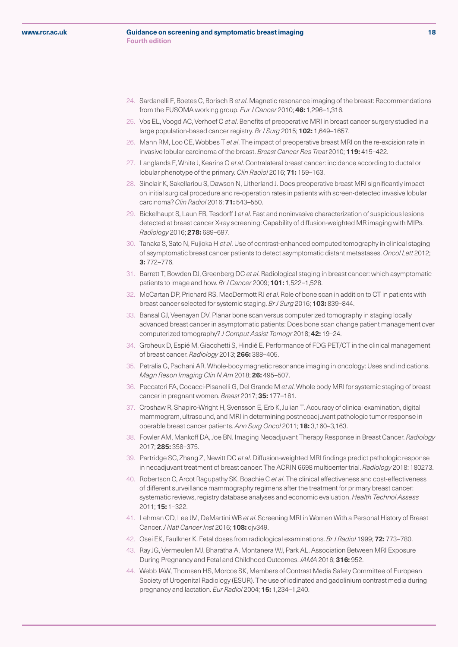#### **Guidance on screening and symptomatic breast imaging 18 Fourth edition**

- 24. Sardanelli F, Boetes C, Borisch B *et al*. Magnetic resonance imaging of the breast: Recommendations from the EUSOMA working group. *Eur J Cancer* 2010; **46:** 1,296–1,316.
- 25. Vos EL, Voogd AC, Verhoef C *et al*. Benefits of preoperative MRI in breast cancer surgery studied in a large population-based cancer registry. *Br J Surg* 2015; **102:** 1,649–1657.
- 26. Mann RM, Loo CE, Wobbes T *et al*. The impact of preoperative breast MRI on the re-excision rate in invasive lobular carcinoma of the breast. *Breast Cancer Res Treat* 2010; **119:** 415–422.
- 27. Langlands F, White J, Kearins O *et al*. Contralateral breast cancer: incidence according to ductal or lobular phenotype of the primary. *Clin Radiol* 2016; **71:** 159–163.
- 28. Sinclair K, Sakellariou S, Dawson N, Litherland J. Does preoperative breast MRI significantly impact on initial surgical procedure and re-operation rates in patients with screen-detected invasive lobular carcinoma? *Clin Radiol* 2016; **71:** 543–550.
- 29. Bickelhaupt S, Laun FB, Tesdorff J *et al*. Fast and noninvasive characterization of suspicious lesions detected at breast cancer X-ray screening: Capability of diffusion-weighted MR imaging with MIPs. *Radiology* 2016; **278:** 689–697.
- 30. Tanaka S, Sato N, Fujioka H *et al*. Use of contrast-enhanced computed tomography in clinical staging of asymptomatic breast cancer patients to detect asymptomatic distant metastases. *Oncol Lett* 2012; **3:** 772–776.
- 31. Barrett T, Bowden DJ, Greenberg DC *et al*. Radiological staging in breast cancer: which asymptomatic patients to image and how. *Br J Cancer* 2009; **101:** 1,522–1,528.
- 32. McCartan DP, Prichard RS, MacDermott RJ *et al*. Role of bone scan in addition to CT in patients with breast cancer selected for systemic staging. *Br J Surg* 2016; **103:** 839–844.
- 33. Bansal GJ, Veenayan DV. Planar bone scan versus computerized tomography in staging locally advanced breast cancer in asymptomatic patients: Does bone scan change patient management over computerized tomography? *J Comput Assist Tomogr* 2018; **42:** 19–24.
- 34. Groheux D, Espié M, Giacchetti S, Hindié E. Performance of FDG PET/CT in the clinical management of breast cancer. *Radiology* 2013; **266:** 388–405.
- 35. Petralia G, Padhani AR. Whole-body magnetic resonance imaging in oncology: Uses and indications. *Magn Reson Imaging Clin N Am* 2018; **26:** 495–507.
- 36. Peccatori FA, Codacci-Pisanelli G, Del Grande M *et al*. Whole body MRI for systemic staging of breast cancer in pregnant women. *Breast* 2017; **35:** 177–181.
- 37. Croshaw R, Shapiro-Wright H, Svensson E, Erb K, Julian T. Accuracy of clinical examination, digital mammogram, ultrasound, and MRI in determining postneoadjuvant pathologic tumor response in operable breast cancer patients. *Ann Surg Oncol* 2011; **18:** 3,160–3,163.
- 38. Fowler AM, Mankoff DA, Joe BN. Imaging Neoadjuvant Therapy Response in Breast Cancer. *Radiology* 2017; **285:** 358–375.
- 39. Partridge SC, Zhang Z, Newitt DC *et al*. Diffusion-weighted MRI findings predict pathologic response in neoadjuvant treatment of breast cancer: The ACRIN 6698 multicenter trial. *Radiology* 2018: 180273.
- 40. Robertson C, Arcot Ragupathy SK, Boachie C *et al*. The clinical effectiveness and cost-effectiveness of different surveillance mammography regimens after the treatment for primary breast cancer: systematic reviews, registry database analyses and economic evaluation. *Health Technol Assess* 2011; **15:** 1–322.
- 41. Lehman CD, Lee JM, DeMartini WB *et al*. Screening MRI in Women With a Personal History of Breast Cancer. *J Natl Cancer Inst* 2016; **108:** djv349.
- 42. Osei EK, Faulkner K. Fetal doses from radiological examinations. *Br J Radiol* 1999; **72:** 773–780.
- 43. Ray JG, Vermeulen MJ, Bharatha A, Montanera WJ, Park AL. Association Between MRI Exposure During Pregnancy and Fetal and Childhood Outcomes. *JAMA* 2016; **316:** 952.
- 44. Webb JAW, Thomsen HS, Morcos SK, Members of Contrast Media Safety Committee of European Society of Urogenital Radiology (ESUR). The use of iodinated and gadolinium contrast media during pregnancy and lactation. *Eur Radiol* 2004; **15:** 1,234–1,240.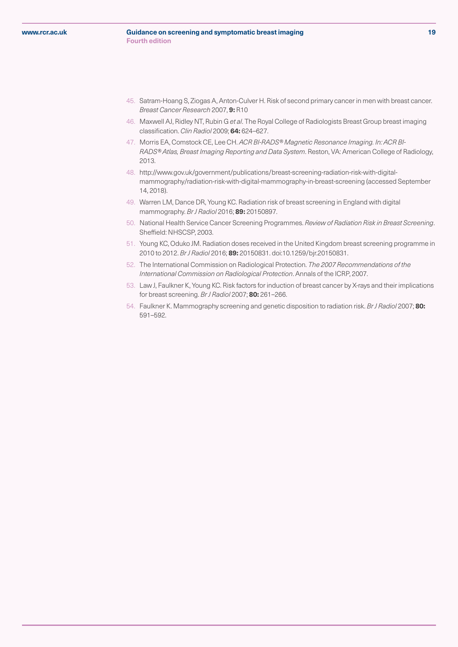#### **Guidance on screening and symptomatic breast imaging 19 Fourth edition**

- 45. Satram-Hoang S, Ziogas A, Anton-Culver H. Risk of second primary cancer in men with breast cancer. *Breast Cancer Research* 2007, **9:** R10
- 46. Maxwell AJ, Ridley NT, Rubin G *et al*. The Royal College of Radiologists Breast Group breast imaging classification. *Clin Radiol* 2009; **64:** 624–627.
- 47. Morris EA, Comstock CE, Lee CH. *ACR BI-RADS® Magnetic Resonance Imaging. In: ACR BI-RADS® Atlas, Breast Imaging Reporting and Data System*. Reston, VA: American College of Radiology, 2013.
- 48. http://www.gov.uk/government/publications/breast-screening-radiation-risk-with-digitalmammography/radiation-risk-with-digital-mammography-in-breast-screening (accessed September 14, 2018).
- 49. Warren LM, Dance DR, Young KC. Radiation risk of breast screening in England with digital mammography. *Br J Radiol* 2016; **89:** 20150897.
- 50. National Health Service Cancer Screening Programmes. *Review of Radiation Risk in Breast Screening*. Sheffield: NHSCSP, 2003.
- 51. Young KC, Oduko JM. Radiation doses received in the United Kingdom breast screening programme in 2010 to 2012. *Br J Radiol* 2016; **89:** 20150831. doi:10.1259/bjr.20150831.
- 52. The International Commission on Radiological Protection. *The 2007 Recommendations of the International Commission on Radiological Protection*. Annals of the ICRP, 2007.
- 53. Law J, Faulkner K, Young KC. Risk factors for induction of breast cancer by X-rays and their implications for breast screening. *Br J Radiol* 2007; **80:** 261–266.
- 54. Faulkner K. Mammography screening and genetic disposition to radiation risk. *Br J Radiol* 2007; **80:**  591–592.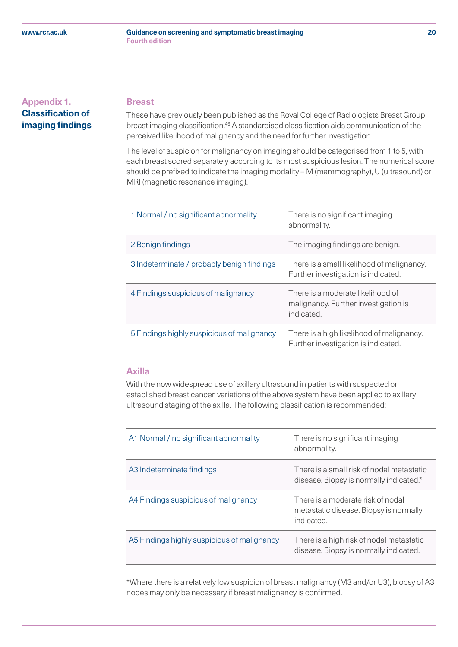#### **Guidance on screening and symptomatic breast imaging 20 Fourth edition**

# <span id="page-19-0"></span> **Breast Appendix 1. Classification of imaging findings**

These have previously been published as the Royal College of Radiologists Breast Group breast imaging classification.<sup>46</sup> A standardised classification aids communication of the perceived likelihood of malignancy and the need for further investigation.

The level of suspicion for malignancy on imaging should be categorised from 1 to 5, with each breast scored separately according to its most suspicious lesion. The numerical score should be prefixed to indicate the imaging modality – M (mammography), U (ultrasound) or MRI (magnetic resonance imaging).

| 1 Normal / no significant abnormality      | There is no significant imaging<br>abnormality.                                         |
|--------------------------------------------|-----------------------------------------------------------------------------------------|
| 2 Benign findings                          | The imaging findings are benign.                                                        |
| 3 Indeterminate / probably benign findings | There is a small likelihood of malignancy.<br>Further investigation is indicated.       |
| 4 Findings suspicious of malignancy        | There is a moderate likelihood of<br>malignancy. Further investigation is<br>indicated. |
| 5 Findings highly suspicious of malignancy | There is a high likelihood of malignancy.<br>Further investigation is indicated.        |

# **Axilla**

With the now widespread use of axillary ultrasound in patients with suspected or established breast cancer, variations of the above system have been applied to axillary ultrasound staging of the axilla. The following classification is recommended:

| A1 Normal / no significant abnormality      | There is no significant imaging<br>abnormality.                                           |
|---------------------------------------------|-------------------------------------------------------------------------------------------|
| A3 Indeterminate findings                   | There is a small risk of nodal metastatic<br>disease. Biopsy is normally indicated.*      |
| A4 Findings suspicious of malignancy        | There is a moderate risk of nodal<br>metastatic disease. Biopsy is normally<br>indicated. |
| A5 Findings highly suspicious of malignancy | There is a high risk of nodal metastatic<br>disease. Biopsy is normally indicated.        |

\*Where there is a relatively low suspicion of breast malignancy (M3 and/or U3), biopsy of A3 nodes may only be necessary if breast malignancy is confirmed.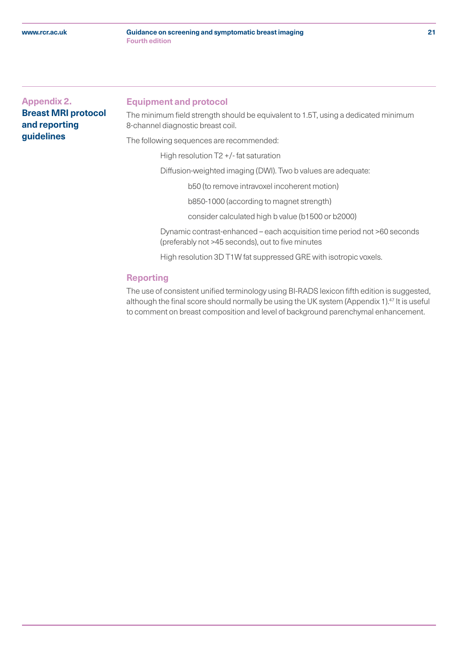#### **Guidance on screening and symptomatic breast imaging 21 Fourth edition**

# <span id="page-20-0"></span>**Appendix 2. Breast MRI protocol and reporting guidelines**

#### **Equipment and protocol**

The minimum field strength should be equivalent to 1.5T, using a dedicated minimum 8-channel diagnostic breast coil.

The following sequences are recommended:

High resolution T2 +/- fat saturation

Diffusion-weighted imaging (DWI). Two b values are adequate:

b50 (to remove intravoxel incoherent motion)

b850-1000 (according to magnet strength)

consider calculated high b value (b1500 or b2000)

 Dynamic contrast-enhanced – each acquisition time period not >60 seconds (preferably not >45 seconds), out to five minutes

High resolution 3D T1W fat suppressed GRE with isotropic voxels.

# **Reporting**

The use of consistent unified terminology using BI-RADS lexicon fifth edition is suggested, although the final score should normally be using the UK system (Appendix 1).<sup>47</sup> It is useful to comment on breast composition and level of background parenchymal enhancement.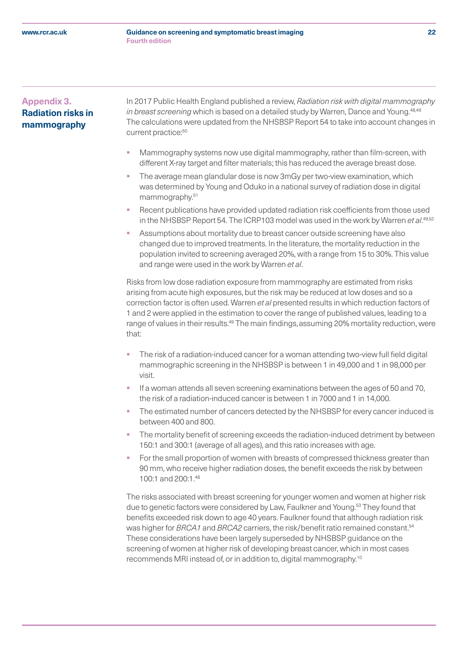# <span id="page-21-0"></span>**Appendix 3. Radiation risks in mammography**

 In 2017 Public Health England published a review, *Radiation risk with digital mammography in breast screening* which is based on a detailed study by Warren, Dance and Young.<sup>48,49</sup> The calculations were updated from the NHSBSP Report 54 to take into account changes in current practice:<sup>50</sup>

- § Mammography systems now use digital mammography, rather than film-screen, with different X-ray target and filter materials; this has reduced the average breast dose.
- The average mean glandular dose is now 3mGy per two-view examination, which was determined by Young and Oduko in a national survey of radiation dose in digital mammography.<sup>51</sup>
- § Recent publications have provided updated radiation risk coefficients from those used in the NHSBSP Report 54. The ICRP103 model was used in the work by Warren *et al*. 49,52
- Assumptions about mortality due to breast cancer outside screening have also changed due to improved treatments. In the literature, the mortality reduction in the population invited to screening averaged 20%, with a range from 15 to 30%. This value and range were used in the work by Warren *et al*.

Risks from low dose radiation exposure from mammography are estimated from risks arising from acute high exposures, but the risk may be reduced at low doses and so a correction factor is often used. Warren *et al* presented results in which reduction factors of 1 and 2 were applied in the estimation to cover the range of published values, leading to a range of values in their results.<sup>49</sup> The main findings, assuming 20% mortality reduction, were that:

- The risk of a radiation-induced cancer for a woman attending two-view full field digital mammographic screening in the NHSBSP is between 1 in 49,000 and 1 in 98,000 per visit.
- If a woman attends all seven screening examinations between the ages of 50 and 70, the risk of a radiation-induced cancer is between 1 in 7000 and 1 in 14,000.
- The estimated number of cancers detected by the NHSBSP for every cancer induced is between 400 and 800.
- The mortality benefit of screening exceeds the radiation-induced detriment by between 150:1 and 300:1 (average of all ages), and this ratio increases with age.
- For the small proportion of women with breasts of compressed thickness greater than 90 mm, who receive higher radiation doses, the benefit exceeds the risk by between 100:1 and 200:1.48

The risks associated with breast screening for younger women and women at higher risk due to genetic factors were considered by Law, Faulkner and Young.<sup>53</sup> They found that benefits exceeded risk down to age 40 years. Faulkner found that although radiation risk was higher for *BRCA1* and *BRCA2* carriers, the risk/benefit ratio remained constant.<sup>54</sup> These considerations have been largely superseded by NHSBSP guidance on the screening of women at higher risk of developing breast cancer, which in most cases recommends MRI instead of, or in addition to, digital mammography.10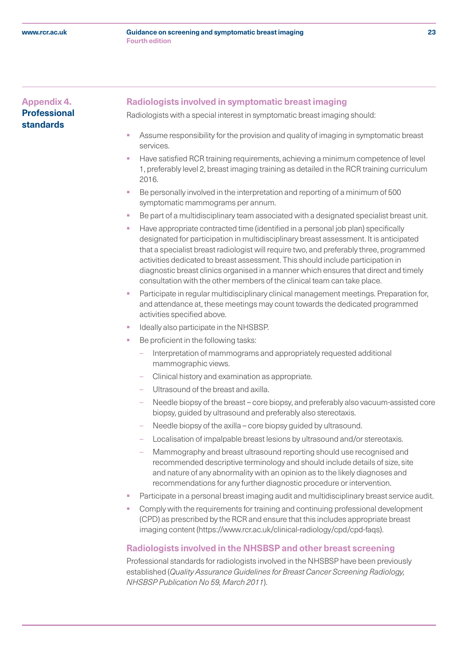#### **Guidance on screening and symptomatic breast imaging 23 Fourth edition**

# <span id="page-22-0"></span>**Appendix 4. Professional standards**

# **Radiologists involved in symptomatic breast imaging**

Radiologists with a special interest in symptomatic breast imaging should:

- Assume responsibility for the provision and quality of imaging in symptomatic breast services.
- § Have satisfied RCR training requirements, achieving a minimum competence of level 1, preferably level 2, breast imaging training as detailed in the RCR training curriculum 2016.
- Be personally involved in the interpretation and reporting of a minimum of 500 symptomatic mammograms per annum.
- Be part of a multidisciplinary team associated with a designated specialist breast unit.
- § Have appropriate contracted time (identified in a personal job plan) specifically designated for participation in multidisciplinary breast assessment. It is anticipated that a specialist breast radiologist will require two, and preferably three, programmed activities dedicated to breast assessment. This should include participation in diagnostic breast clinics organised in a manner which ensures that direct and timely consultation with the other members of the clinical team can take place.
- Participate in regular multidisciplinary clinical management meetings. Preparation for, and attendance at, these meetings may count towards the dedicated programmed activities specified above.
- § Ideally also participate in the NHSBSP.
- Be proficient in the following tasks:
	- Interpretation of mammograms and appropriately requested additional mammographic views.
	- Clinical history and examination as appropriate.
	- Ultrasound of the breast and axilla.
	- Needle biopsy of the breast core biopsy, and preferably also vacuum-assisted core biopsy, guided by ultrasound and preferably also stereotaxis.
	- Needle biopsy of the axilla core biopsy guided by ultrasound.
	- Localisation of impalpable breast lesions by ultrasound and/or stereotaxis.
	- Mammography and breast ultrasound reporting should use recognised and recommended descriptive terminology and should include details of size, site and nature of any abnormality with an opinion as to the likely diagnoses and recommendations for any further diagnostic procedure or intervention.
- Participate in a personal breast imaging audit and multidisciplinary breast service audit.
- Comply with the requirements for training and continuing professional development (CPD) as prescribed by the RCR and ensure that this includes appropriate breast imaging content (https://www.rcr.ac.uk/clinical-radiology/cpd/cpd-faqs).

# **Radiologists involved in the NHSBSP and other breast screening**

Professional standards for radiologists involved in the NHSBSP have been previously established (*Quality Assurance Guidelines for Breast Cancer Screening Radiology, NHSBSP Publication No 59, March 2011*).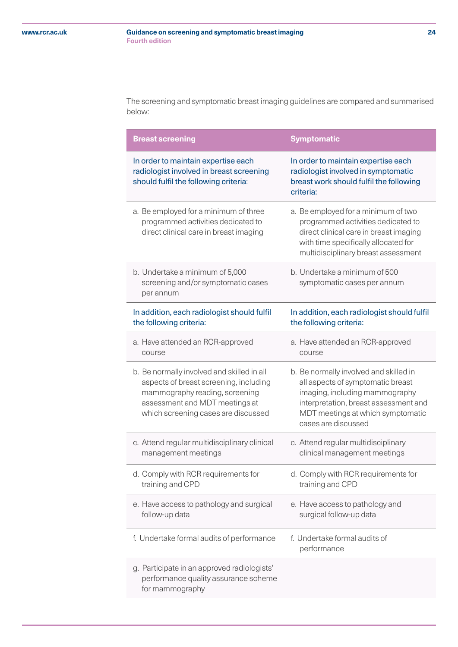The screening and symptomatic breast imaging guidelines are compared and summarised below:

| <b>Breast screening</b>                                                                                                                                                                         | <b>Symptomatic</b>                                                                                                                                                                                                 |
|-------------------------------------------------------------------------------------------------------------------------------------------------------------------------------------------------|--------------------------------------------------------------------------------------------------------------------------------------------------------------------------------------------------------------------|
| In order to maintain expertise each<br>radiologist involved in breast screening<br>should fulfil the following criteria:                                                                        | In order to maintain expertise each<br>radiologist involved in symptomatic<br>breast work should fulfil the following<br>criteria:                                                                                 |
| a. Be employed for a minimum of three<br>programmed activities dedicated to<br>direct clinical care in breast imaging                                                                           | a. Be employed for a minimum of two<br>programmed activities dedicated to<br>direct clinical care in breast imaging<br>with time specifically allocated for<br>multidisciplinary breast assessment                 |
| b. Undertake a minimum of 5,000<br>screening and/or symptomatic cases<br>per annum                                                                                                              | b. Undertake a minimum of 500<br>symptomatic cases per annum                                                                                                                                                       |
| In addition, each radiologist should fulfil<br>the following criteria:                                                                                                                          | In addition, each radiologist should fulfil<br>the following criteria:                                                                                                                                             |
| a. Have attended an RCR-approved<br>course                                                                                                                                                      | a. Have attended an RCR-approved<br>course                                                                                                                                                                         |
| b. Be normally involved and skilled in all<br>aspects of breast screening, including<br>mammography reading, screening<br>assessment and MDT meetings at<br>which screening cases are discussed | b. Be normally involved and skilled in<br>all aspects of symptomatic breast<br>imaging, including mammography<br>interpretation, breast assessment and<br>MDT meetings at which symptomatic<br>cases are discussed |
| c. Attend regular multidisciplinary clinical<br>management meetings                                                                                                                             | c. Attend regular multidisciplinary<br>clinical management meetings                                                                                                                                                |
| d. Comply with RCR requirements for<br>training and CPD                                                                                                                                         | d. Comply with RCR requirements for<br>training and CPD                                                                                                                                                            |
| e. Have access to pathology and surgical<br>follow-up data                                                                                                                                      | e. Have access to pathology and<br>surgical follow-up data                                                                                                                                                         |
| f. Undertake formal audits of performance                                                                                                                                                       | f. Undertake formal audits of<br>performance                                                                                                                                                                       |
| g. Participate in an approved radiologists'<br>performance quality assurance scheme<br>for mammography                                                                                          |                                                                                                                                                                                                                    |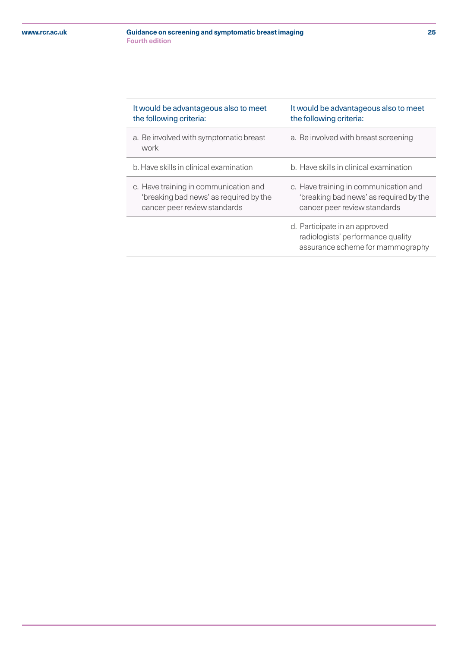#### **Guidance on screening and symptomatic breast imaging 25 Fourth edition**

| It would be advantageous also to meet<br>the following criteria:                                                | It would be advantageous also to meet<br>the following criteria:                                                |
|-----------------------------------------------------------------------------------------------------------------|-----------------------------------------------------------------------------------------------------------------|
| a. Be involved with symptomatic breast<br>work                                                                  | a. Be involved with breast screening                                                                            |
| b. Have skills in clinical examination                                                                          | b. Have skills in clinical examination                                                                          |
| c. Have training in communication and<br>'breaking bad news' as required by the<br>cancer peer review standards | c. Have training in communication and<br>'breaking bad news' as required by the<br>cancer peer review standards |
|                                                                                                                 | d. Participate in an approved<br>radiologists' performance quality<br>assurance scheme for mammography          |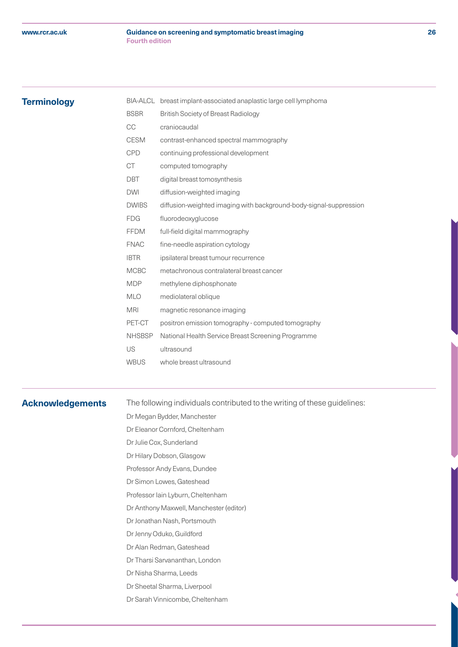#### **Guidance on screening and symptomatic breast imaging 26 Fourth edition**

# <span id="page-25-0"></span>**Terminology**

| BIA-ALCL      | breast implant-associated anaplastic large cell lymphoma           |
|---------------|--------------------------------------------------------------------|
| <b>BSBR</b>   | <b>British Society of Breast Radiology</b>                         |
| CC            | craniocaudal                                                       |
| <b>CESM</b>   | contrast-enhanced spectral mammography                             |
| <b>CPD</b>    | continuing professional development                                |
| <b>CT</b>     | computed tomography                                                |
| <b>DBT</b>    | digital breast tomosynthesis                                       |
| <b>DWI</b>    | diffusion-weighted imaging                                         |
| <b>DWIBS</b>  | diffusion-weighted imaging with background-body-signal-suppression |
| <b>FDG</b>    | fluorodeoxyglucose                                                 |
| <b>FFDM</b>   | full-field digital mammography                                     |
| <b>FNAC</b>   | fine-needle aspiration cytology                                    |
| <b>IBTR</b>   | ipsilateral breast tumour recurrence                               |
| <b>MCBC</b>   | metachronous contralateral breast cancer                           |
| <b>MDP</b>    | methylene diphosphonate                                            |
| <b>MLO</b>    | mediolateral oblique                                               |
| <b>MRI</b>    | magnetic resonance imaging                                         |
| PET-CT        | positron emission tomography - computed tomography                 |
| <b>NHSBSP</b> | National Health Service Breast Screening Programme                 |
| US            | ultrasound                                                         |
| <b>WBUS</b>   | whole breast ultrasound                                            |
|               |                                                                    |

# **Acknowledgements**

The following individuals contributed to the writing of these guidelines:

Dr Megan Bydder, Manchester

Dr Eleanor Cornford, Cheltenham

- Dr Julie Cox, Sunderland
- Dr Hilary Dobson, Glasgow
- Professor Andy Evans, Dundee
- Dr Simon Lowes, Gateshead
- Professor Iain Lyburn, Cheltenham
- Dr Anthony Maxwell, Manchester (editor)
- Dr Jonathan Nash, Portsmouth
- Dr Jenny Oduko, Guildford
- Dr Alan Redman, Gateshead
- Dr Tharsi Sarvananthan, London
- Dr Nisha Sharma, Leeds
- Dr Sheetal Sharma, Liverpool
- Dr Sarah Vinnicombe, Cheltenham